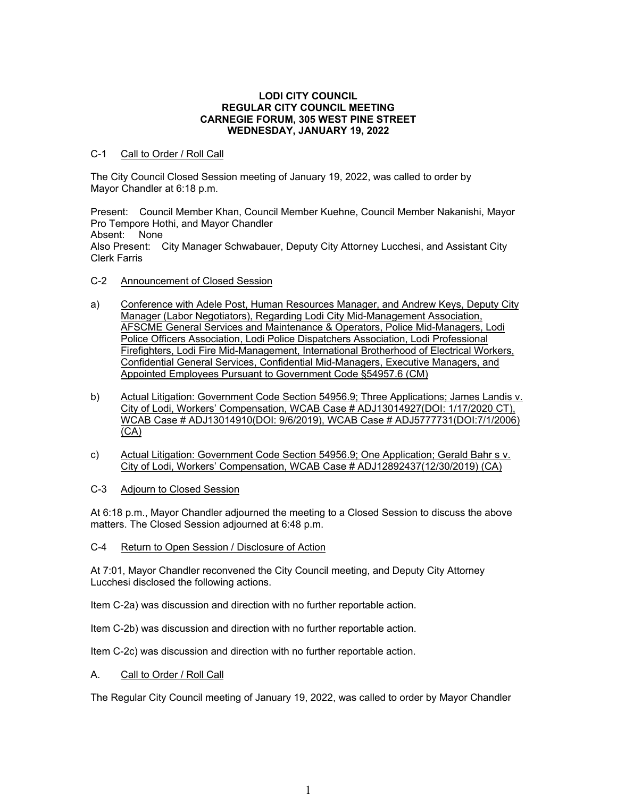### **LODI CITY COUNCIL REGULAR CITY COUNCIL MEETING CARNEGIE FORUM, 305 WEST PINE STREET WEDNESDAY, JANUARY 19, 2022**

# C-1 Call to Order / Roll Call

The City Council Closed Session meeting of January 19, 2022, was called to order by Mayor Chandler at 6:18 p.m.

Present: Council Member Khan, Council Member Kuehne, Council Member Nakanishi, Mayor Pro Tempore Hothi, and Mayor Chandler Absent: None Also Present: City Manager Schwabauer, Deputy City Attorney Lucchesi, and Assistant City Clerk Farris

- C-2 Announcement of Closed Session
- a) Conference with Adele Post, Human Resources Manager, and Andrew Keys, Deputy City Manager (Labor Negotiators), Regarding Lodi City Mid-Management Association, AFSCME General Services and Maintenance & Operators, Police Mid-Managers, Lodi Police Officers Association, Lodi Police Dispatchers Association, Lodi Professional Firefighters, Lodi Fire Mid-Management, International Brotherhood of Electrical Workers, Confidential General Services, Confidential Mid-Managers, Executive Managers, and Appointed Employees Pursuant to Government Code §54957.6 (CM)
- b) Actual Litigation: Government Code Section 54956.9; Three Applications; James Landis v. City of Lodi, Workers' Compensation, WCAB Case # ADJ13014927(DOI: 1/17/2020 CT), WCAB Case # ADJ13014910(DOI: 9/6/2019), WCAB Case # ADJ5777731(DOI:7/1/2006) (CA)
- c) Actual Litigation: Government Code Section 54956.9; One Application; Gerald Bahr s v. City of Lodi, Workers' Compensation, WCAB Case # ADJ12892437(12/30/2019) (CA)
- C-3 Adjourn to Closed Session

At 6:18 p.m., Mayor Chandler adjourned the meeting to a Closed Session to discuss the above matters. The Closed Session adjourned at 6:48 p.m.

C-4 Return to Open Session / Disclosure of Action

At 7:01, Mayor Chandler reconvened the City Council meeting, and Deputy City Attorney Lucchesi disclosed the following actions.

Item C-2a) was discussion and direction with no further reportable action.

Item C-2b) was discussion and direction with no further reportable action.

Item C-2c) was discussion and direction with no further reportable action.

### A. Call to Order / Roll Call

The Regular City Council meeting of January 19, 2022, was called to order by Mayor Chandler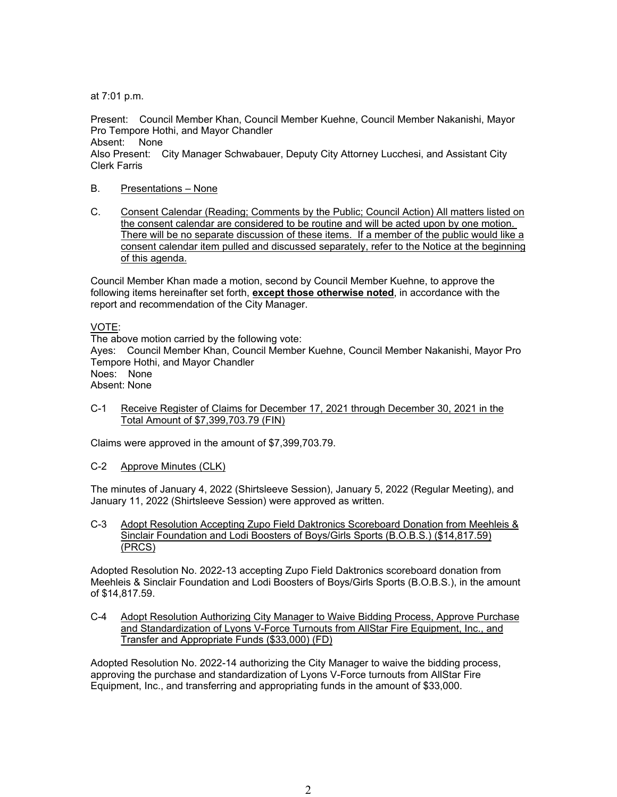at 7:01 p.m.

Present: Council Member Khan, Council Member Kuehne, Council Member Nakanishi, Mayor Pro Tempore Hothi, and Mayor Chandler

Absent: None

Also Present: City Manager Schwabauer, Deputy City Attorney Lucchesi, and Assistant City Clerk Farris

# B. Presentations – None

C. Consent Calendar (Reading; Comments by the Public; Council Action) All matters listed on the consent calendar are considered to be routine and will be acted upon by one motion. There will be no separate discussion of these items. If a member of the public would like a consent calendar item pulled and discussed separately, refer to the Notice at the beginning of this agenda.

Council Member Khan made a motion, second by Council Member Kuehne, to approve the following items hereinafter set forth, **except those otherwise noted**, in accordance with the report and recommendation of the City Manager.

VOTE:

The above motion carried by the following vote: Ayes: Council Member Khan, Council Member Kuehne, Council Member Nakanishi, Mayor Pro Tempore Hothi, and Mayor Chandler Noes: None Absent: None

C-1 Receive Register of Claims for December 17, 2021 through December 30, 2021 in the Total Amount of \$7,399,703.79 (FIN)

Claims were approved in the amount of \$7,399,703.79.

C-2 Approve Minutes (CLK)

The minutes of January 4, 2022 (Shirtsleeve Session), January 5, 2022 (Regular Meeting), and January 11, 2022 (Shirtsleeve Session) were approved as written.

C-3 Adopt Resolution Accepting Zupo Field Daktronics Scoreboard Donation from Meehleis & Sinclair Foundation and Lodi Boosters of Boys/Girls Sports (B.O.B.S.) (\$14,817.59) (PRCS)

Adopted Resolution No. 2022-13 accepting Zupo Field Daktronics scoreboard donation from Meehleis & Sinclair Foundation and Lodi Boosters of Boys/Girls Sports (B.O.B.S.), in the amount of \$14,817.59.

C-4 Adopt Resolution Authorizing City Manager to Waive Bidding Process, Approve Purchase and Standardization of Lyons V-Force Turnouts from AllStar Fire Equipment, Inc., and Transfer and Appropriate Funds (\$33,000) (FD)

Adopted Resolution No. 2022-14 authorizing the City Manager to waive the bidding process, approving the purchase and standardization of Lyons V-Force turnouts from AllStar Fire Equipment, Inc., and transferring and appropriating funds in the amount of \$33,000.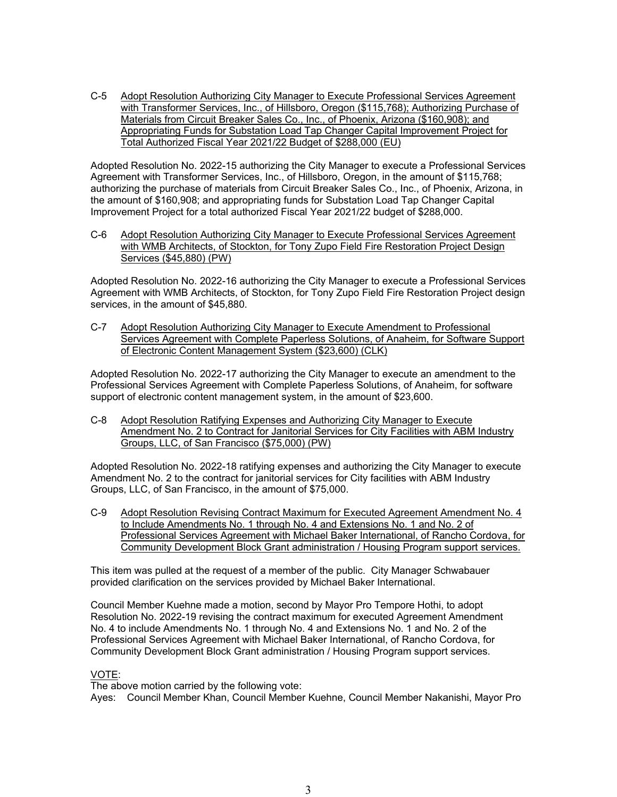C-5 Adopt Resolution Authorizing City Manager to Execute Professional Services Agreement with Transformer Services, Inc., of Hillsboro, Oregon (\$115,768); Authorizing Purchase of Materials from Circuit Breaker Sales Co., Inc., of Phoenix, Arizona (\$160,908); and Appropriating Funds for Substation Load Tap Changer Capital Improvement Project for Total Authorized Fiscal Year 2021/22 Budget of \$288,000 (EU)

Adopted Resolution No. 2022-15 authorizing the City Manager to execute a Professional Services Agreement with Transformer Services, Inc., of Hillsboro, Oregon, in the amount of \$115,768; authorizing the purchase of materials from Circuit Breaker Sales Co., Inc., of Phoenix, Arizona, in the amount of \$160,908; and appropriating funds for Substation Load Tap Changer Capital Improvement Project for a total authorized Fiscal Year 2021/22 budget of \$288,000.

C-6 Adopt Resolution Authorizing City Manager to Execute Professional Services Agreement with WMB Architects, of Stockton, for Tony Zupo Field Fire Restoration Project Design Services (\$45,880) (PW)

Adopted Resolution No. 2022-16 authorizing the City Manager to execute a Professional Services Agreement with WMB Architects, of Stockton, for Tony Zupo Field Fire Restoration Project design services, in the amount of \$45,880.

C-7 Adopt Resolution Authorizing City Manager to Execute Amendment to Professional Services Agreement with Complete Paperless Solutions, of Anaheim, for Software Support of Electronic Content Management System (\$23,600) (CLK)

Adopted Resolution No. 2022-17 authorizing the City Manager to execute an amendment to the Professional Services Agreement with Complete Paperless Solutions, of Anaheim, for software support of electronic content management system, in the amount of \$23,600.

C-8 Adopt Resolution Ratifying Expenses and Authorizing City Manager to Execute Amendment No. 2 to Contract for Janitorial Services for City Facilities with ABM Industry Groups, LLC, of San Francisco (\$75,000) (PW)

Adopted Resolution No. 2022-18 ratifying expenses and authorizing the City Manager to execute Amendment No. 2 to the contract for janitorial services for City facilities with ABM Industry Groups, LLC, of San Francisco, in the amount of \$75,000.

C-9 Adopt Resolution Revising Contract Maximum for Executed Agreement Amendment No. 4 to Include Amendments No. 1 through No. 4 and Extensions No. 1 and No. 2 of Professional Services Agreement with Michael Baker International, of Rancho Cordova, for Community Development Block Grant administration / Housing Program support services.

This item was pulled at the request of a member of the public. City Manager Schwabauer provided clarification on the services provided by Michael Baker International.

Council Member Kuehne made a motion, second by Mayor Pro Tempore Hothi, to adopt Resolution No. 2022-19 revising the contract maximum for executed Agreement Amendment No. 4 to include Amendments No. 1 through No. 4 and Extensions No. 1 and No. 2 of the Professional Services Agreement with Michael Baker International, of Rancho Cordova, for Community Development Block Grant administration / Housing Program support services.

### VOTE:

The above motion carried by the following vote: Ayes: Council Member Khan, Council Member Kuehne, Council Member Nakanishi, Mayor Pro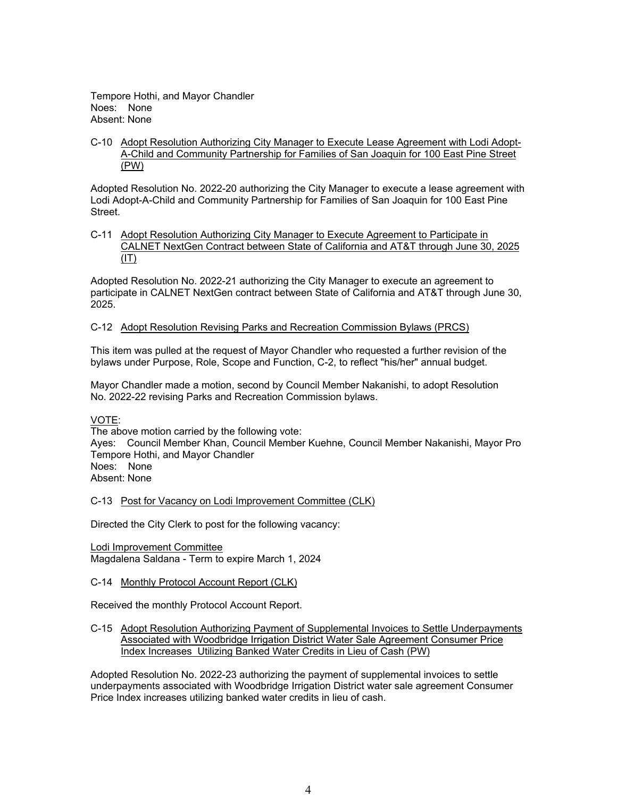Tempore Hothi, and Mayor Chandler Noes: None Absent: None

C-10 Adopt Resolution Authorizing City Manager to Execute Lease Agreement with Lodi Adopt-A-Child and Community Partnership for Families of San Joaquin for 100 East Pine Street (PW)

Adopted Resolution No. 2022-20 authorizing the City Manager to execute a lease agreement with Lodi Adopt-A-Child and Community Partnership for Families of San Joaquin for 100 East Pine Street.

C-11 Adopt Resolution Authorizing City Manager to Execute Agreement to Participate in CALNET NextGen Contract between State of California and AT&T through June 30, 2025  $(IT)$ 

Adopted Resolution No. 2022-21 authorizing the City Manager to execute an agreement to participate in CALNET NextGen contract between State of California and AT&T through June 30, 2025.

C-12 Adopt Resolution Revising Parks and Recreation Commission Bylaws (PRCS)

This item was pulled at the request of Mayor Chandler who requested a further revision of the bylaws under Purpose, Role, Scope and Function, C-2, to reflect "his/her" annual budget.

Mayor Chandler made a motion, second by Council Member Nakanishi, to adopt Resolution No. 2022-22 revising Parks and Recreation Commission bylaws.

VOTE:

The above motion carried by the following vote: Ayes: Council Member Khan, Council Member Kuehne, Council Member Nakanishi, Mayor Pro Tempore Hothi, and Mayor Chandler Noes: None Absent: None

C-13 Post for Vacancy on Lodi Improvement Committee (CLK)

Directed the City Clerk to post for the following vacancy:

Lodi Improvement Committee Magdalena Saldana - Term to expire March 1, 2024

### C-14 Monthly Protocol Account Report (CLK)

Received the monthly Protocol Account Report.

C-15 Adopt Resolution Authorizing Payment of Supplemental Invoices to Settle Underpayments Associated with Woodbridge Irrigation District Water Sale Agreement Consumer Price Index Increases Utilizing Banked Water Credits in Lieu of Cash (PW)

Adopted Resolution No. 2022-23 authorizing the payment of supplemental invoices to settle underpayments associated with Woodbridge Irrigation District water sale agreement Consumer Price Index increases utilizing banked water credits in lieu of cash.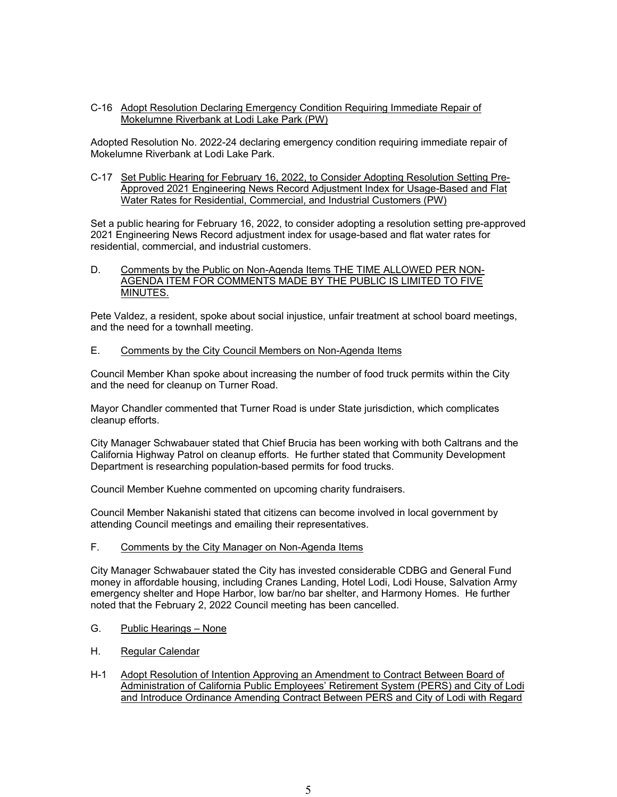C-16 Adopt Resolution Declaring Emergency Condition Requiring Immediate Repair of Mokelumne Riverbank at Lodi Lake Park (PW)

Adopted Resolution No. 2022-24 declaring emergency condition requiring immediate repair of Mokelumne Riverbank at Lodi Lake Park.

C-17 Set Public Hearing for February 16, 2022, to Consider Adopting Resolution Setting Pre-Approved 2021 Engineering News Record Adjustment Index for Usage-Based and Flat Water Rates for Residential, Commercial, and Industrial Customers (PW)

Set a public hearing for February 16, 2022, to consider adopting a resolution setting pre-approved 2021 Engineering News Record adjustment index for usage-based and flat water rates for residential, commercial, and industrial customers.

#### D. Comments by the Public on Non-Agenda Items THE TIME ALLOWED PER NON-AGENDA ITEM FOR COMMENTS MADE BY THE PUBLIC IS LIMITED TO FIVE MINUTES.

Pete Valdez, a resident, spoke about social injustice, unfair treatment at school board meetings, and the need for a townhall meeting.

E. Comments by the City Council Members on Non-Agenda Items

Council Member Khan spoke about increasing the number of food truck permits within the City and the need for cleanup on Turner Road.

Mayor Chandler commented that Turner Road is under State jurisdiction, which complicates cleanup efforts.

City Manager Schwabauer stated that Chief Brucia has been working with both Caltrans and the California Highway Patrol on cleanup efforts. He further stated that Community Development Department is researching population-based permits for food trucks.

Council Member Kuehne commented on upcoming charity fundraisers.

Council Member Nakanishi stated that citizens can become involved in local government by attending Council meetings and emailing their representatives.

F. Comments by the City Manager on Non-Agenda Items

City Manager Schwabauer stated the City has invested considerable CDBG and General Fund money in affordable housing, including Cranes Landing, Hotel Lodi, Lodi House, Salvation Army emergency shelter and Hope Harbor, low bar/no bar shelter, and Harmony Homes. He further noted that the February 2, 2022 Council meeting has been cancelled.

- G. Public Hearings None
- H. Regular Calendar
- H-1 Adopt Resolution of Intention Approving an Amendment to Contract Between Board of Administration of California Public Employees' Retirement System (PERS) and City of Lodi and Introduce Ordinance Amending Contract Between PERS and City of Lodi with Regard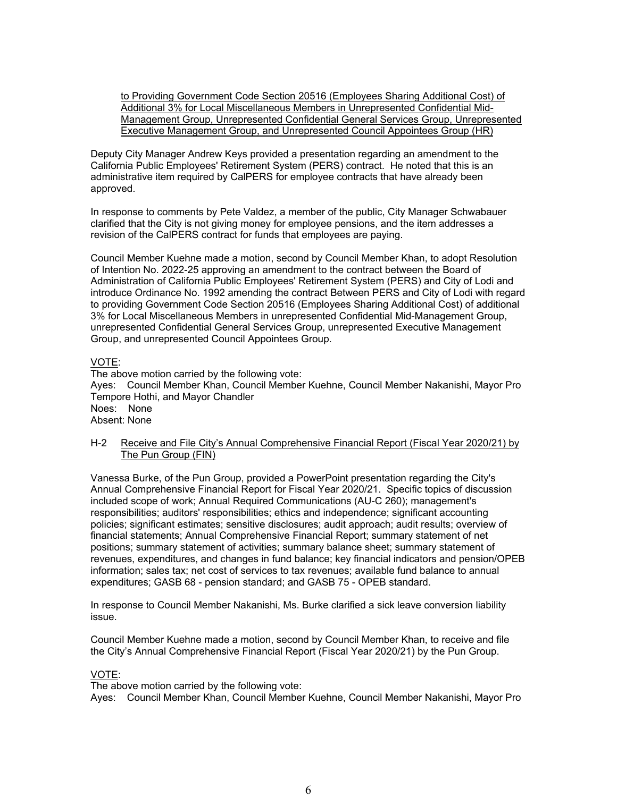to Providing Government Code Section 20516 (Employees Sharing Additional Cost) of Additional 3% for Local Miscellaneous Members in Unrepresented Confidential Mid-Management Group, Unrepresented Confidential General Services Group, Unrepresented Executive Management Group, and Unrepresented Council Appointees Group (HR)

Deputy City Manager Andrew Keys provided a presentation regarding an amendment to the California Public Employees' Retirement System (PERS) contract. He noted that this is an administrative item required by CalPERS for employee contracts that have already been approved.

In response to comments by Pete Valdez, a member of the public, City Manager Schwabauer clarified that the City is not giving money for employee pensions, and the item addresses a revision of the CalPERS contract for funds that employees are paying.

Council Member Kuehne made a motion, second by Council Member Khan, to adopt Resolution of Intention No. 2022-25 approving an amendment to the contract between the Board of Administration of California Public Employees' Retirement System (PERS) and City of Lodi and introduce Ordinance No. 1992 amending the contract Between PERS and City of Lodi with regard to providing Government Code Section 20516 (Employees Sharing Additional Cost) of additional 3% for Local Miscellaneous Members in unrepresented Confidential Mid-Management Group, unrepresented Confidential General Services Group, unrepresented Executive Management Group, and unrepresented Council Appointees Group.

# VOTE:

The above motion carried by the following vote: Ayes: Council Member Khan, Council Member Kuehne, Council Member Nakanishi, Mayor Pro Tempore Hothi, and Mayor Chandler Noes: None Absent: None

# H-2 Receive and File City's Annual Comprehensive Financial Report (Fiscal Year 2020/21) by The Pun Group (FIN)

Vanessa Burke, of the Pun Group, provided a PowerPoint presentation regarding the City's Annual Comprehensive Financial Report for Fiscal Year 2020/21. Specific topics of discussion included scope of work; Annual Required Communications (AU-C 260); management's responsibilities; auditors' responsibilities; ethics and independence; significant accounting policies; significant estimates; sensitive disclosures; audit approach; audit results; overview of financial statements; Annual Comprehensive Financial Report; summary statement of net positions; summary statement of activities; summary balance sheet; summary statement of revenues, expenditures, and changes in fund balance; key financial indicators and pension/OPEB information; sales tax; net cost of services to tax revenues; available fund balance to annual expenditures; GASB 68 - pension standard; and GASB 75 - OPEB standard.

In response to Council Member Nakanishi, Ms. Burke clarified a sick leave conversion liability issue.

Council Member Kuehne made a motion, second by Council Member Khan, to receive and file the City's Annual Comprehensive Financial Report (Fiscal Year 2020/21) by the Pun Group.

### VOTE:

The above motion carried by the following vote: Ayes: Council Member Khan, Council Member Kuehne, Council Member Nakanishi, Mayor Pro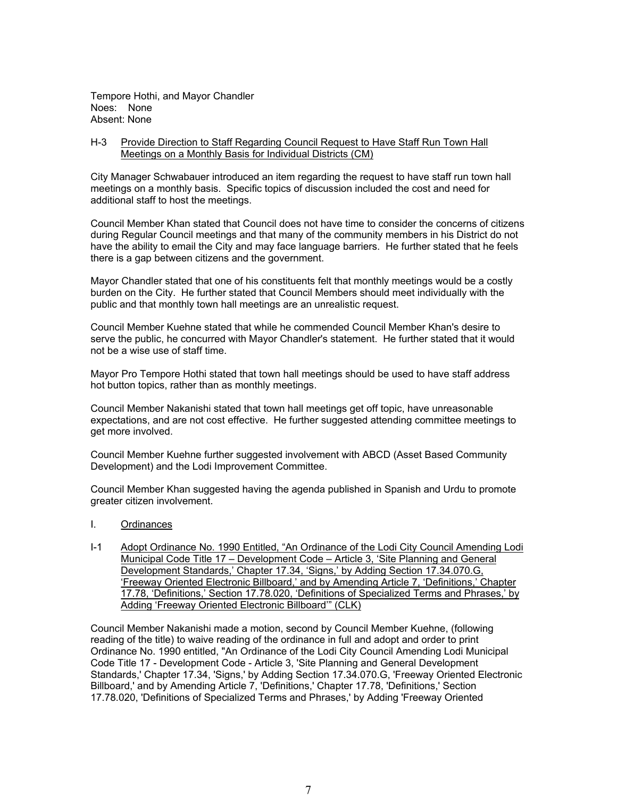Tempore Hothi, and Mayor Chandler Noes: None Absent: None

## H-3 Provide Direction to Staff Regarding Council Request to Have Staff Run Town Hall Meetings on a Monthly Basis for Individual Districts (CM)

City Manager Schwabauer introduced an item regarding the request to have staff run town hall meetings on a monthly basis. Specific topics of discussion included the cost and need for additional staff to host the meetings.

Council Member Khan stated that Council does not have time to consider the concerns of citizens during Regular Council meetings and that many of the community members in his District do not have the ability to email the City and may face language barriers. He further stated that he feels there is a gap between citizens and the government.

Mayor Chandler stated that one of his constituents felt that monthly meetings would be a costly burden on the City. He further stated that Council Members should meet individually with the public and that monthly town hall meetings are an unrealistic request.

Council Member Kuehne stated that while he commended Council Member Khan's desire to serve the public, he concurred with Mayor Chandler's statement. He further stated that it would not be a wise use of staff time.

Mayor Pro Tempore Hothi stated that town hall meetings should be used to have staff address hot button topics, rather than as monthly meetings.

Council Member Nakanishi stated that town hall meetings get off topic, have unreasonable expectations, and are not cost effective. He further suggested attending committee meetings to get more involved.

Council Member Kuehne further suggested involvement with ABCD (Asset Based Community Development) and the Lodi Improvement Committee.

Council Member Khan suggested having the agenda published in Spanish and Urdu to promote greater citizen involvement.

- I. Ordinances
- I-1 Adopt Ordinance No. 1990 Entitled, "An Ordinance of the Lodi City Council Amending Lodi Municipal Code Title 17 – Development Code – Article 3, 'Site Planning and General Development Standards,' Chapter 17.34, 'Signs,' by Adding Section 17.34.070.G, 'Freeway Oriented Electronic Billboard,' and by Amending Article 7, 'Definitions,' Chapter 17.78, 'Definitions,' Section 17.78.020, 'Definitions of Specialized Terms and Phrases,' by Adding 'Freeway Oriented Electronic Billboard'" (CLK)

Council Member Nakanishi made a motion, second by Council Member Kuehne, (following reading of the title) to waive reading of the ordinance in full and adopt and order to print Ordinance No. 1990 entitled, "An Ordinance of the Lodi City Council Amending Lodi Municipal Code Title 17 - Development Code - Article 3, 'Site Planning and General Development Standards,' Chapter 17.34, 'Signs,' by Adding Section 17.34.070.G, 'Freeway Oriented Electronic Billboard,' and by Amending Article 7, 'Definitions,' Chapter 17.78, 'Definitions,' Section 17.78.020, 'Definitions of Specialized Terms and Phrases,' by Adding 'Freeway Oriented